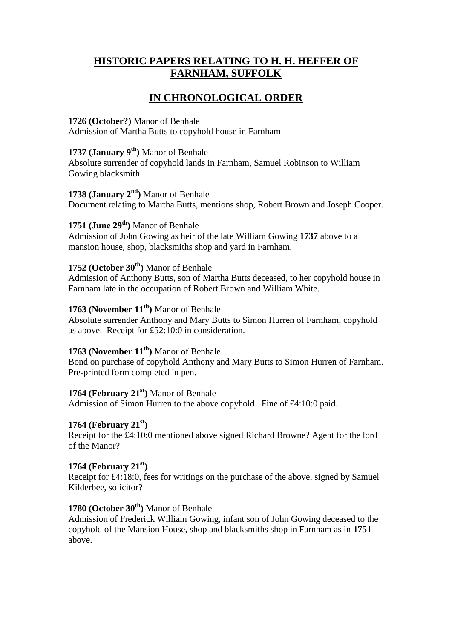# **HISTORIC PAPERS RELATING TO H. H. HEFFER OF FARNHAM, SUFFOLK**

# **IN CHRONOLOGICAL ORDER**

## **1726 (October?)** Manor of Benhale

Admission of Martha Butts to copyhold house in Farnham

# **1737 (January 9th)** Manor of Benhale

Absolute surrender of copyhold lands in Farnham, Samuel Robinson to William Gowing blacksmith.

# **1738 (January 2nd)** Manor of Benhale

Document relating to Martha Butts, mentions shop, Robert Brown and Joseph Cooper.

# **1751 (June 29th)** Manor of Benhale

Admission of John Gowing as heir of the late William Gowing **1737** above to a mansion house, shop, blacksmiths shop and yard in Farnham.

# **1752 (October 30th)** Manor of Benhale

Admission of Anthony Butts, son of Martha Butts deceased, to her copyhold house in Farnham late in the occupation of Robert Brown and William White.

# **1763 (November 11th)** Manor of Benhale

Absolute surrender Anthony and Mary Butts to Simon Hurren of Farnham, copyhold as above. Receipt for £52:10:0 in consideration.

## **1763 (November 11th)** Manor of Benhale

Bond on purchase of copyhold Anthony and Mary Butts to Simon Hurren of Farnham. Pre-printed form completed in pen.

## **1764 (February 21st)** Manor of Benhale

Admission of Simon Hurren to the above copyhold. Fine of £4:10:0 paid.

## **1764 (February 21st)**

Receipt for the £4:10:0 mentioned above signed Richard Browne? Agent for the lord of the Manor?

## **1764 (February 21st)**

Receipt for £4:18:0, fees for writings on the purchase of the above, signed by Samuel Kilderbee, solicitor?

## **1780 (October 30th)** Manor of Benhale

Admission of Frederick William Gowing, infant son of John Gowing deceased to the copyhold of the Mansion House, shop and blacksmiths shop in Farnham as in **1751** above.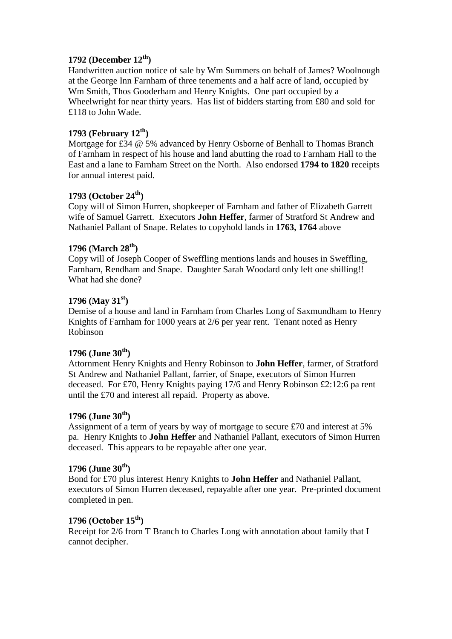## **1792 (December 12th)**

Handwritten auction notice of sale by Wm Summers on behalf of James? Woolnough at the George Inn Farnham of three tenements and a half acre of land, occupied by Wm Smith, Thos Gooderham and Henry Knights. One part occupied by a Wheelwright for near thirty years. Has list of bidders starting from £80 and sold for £118 to John Wade.

## **1793 (February 12th )**

Mortgage for £34 @ 5% advanced by Henry Osborne of Benhall to Thomas Branch of Farnham in respect of his house and land abutting the road to Farnham Hall to the East and a lane to Farnham Street on the North. Also endorsed **1794 to 1820** receipts for annual interest paid.

## **1793 (October 24th)**

Copy will of Simon Hurren, shopkeeper of Farnham and father of Elizabeth Garrett wife of Samuel Garrett. Executors **John Heffer**, farmer of Stratford St Andrew and Nathaniel Pallant of Snape. Relates to copyhold lands in **1763, 1764** above

## **1796 (March 28th)**

Copy will of Joseph Cooper of Sweffling mentions lands and houses in Sweffling, Farnham, Rendham and Snape. Daughter Sarah Woodard only left one shilling!! What had she done?

### **1796 (May 31st)**

Demise of a house and land in Farnham from Charles Long of Saxmundham to Henry Knights of Farnham for 1000 years at 2/6 per year rent. Tenant noted as Henry Robinson

## **1796 (June 30th)**

Attornment Henry Knights and Henry Robinson to **John Heffer**, farmer, of Stratford St Andrew and Nathaniel Pallant, farrier, of Snape, executors of Simon Hurren deceased. For £70, Henry Knights paying 17/6 and Henry Robinson £2:12:6 pa rent until the £70 and interest all repaid. Property as above.

## **1796 (June 30th)**

Assignment of a term of years by way of mortgage to secure £70 and interest at 5% pa. Henry Knights to **John Heffer** and Nathaniel Pallant, executors of Simon Hurren deceased. This appears to be repayable after one year.

## **1796 (June 30th)**

Bond for £70 plus interest Henry Knights to **John Heffer** and Nathaniel Pallant, executors of Simon Hurren deceased, repayable after one year. Pre-printed document completed in pen.

# **1796 (October 15th)**

Receipt for 2/6 from T Branch to Charles Long with annotation about family that I cannot decipher.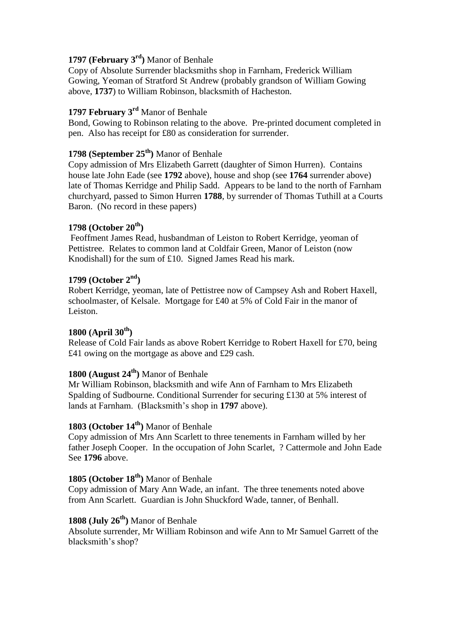# **1797 (February 3rd)** Manor of Benhale

Copy of Absolute Surrender blacksmiths shop in Farnham, Frederick William Gowing, Yeoman of Stratford St Andrew (probably grandson of William Gowing above, **1737**) to William Robinson, blacksmith of Hacheston.

## **1797 February 3rd** Manor of Benhale

Bond, Gowing to Robinson relating to the above. Pre-printed document completed in pen. Also has receipt for £80 as consideration for surrender.

### **1798 (September 25th)** Manor of Benhale

Copy admission of Mrs Elizabeth Garrett (daughter of Simon Hurren). Contains house late John Eade (see **1792** above), house and shop (see **1764** surrender above) late of Thomas Kerridge and Philip Sadd. Appears to be land to the north of Farnham churchyard, passed to Simon Hurren **1788**, by surrender of Thomas Tuthill at a Courts Baron. (No record in these papers)

### **1798 (October 20th)**

Feoffment James Read, husbandman of Leiston to Robert Kerridge, yeoman of Pettistree. Relates to common land at Coldfair Green, Manor of Leiston (now Knodishall) for the sum of £10. Signed James Read his mark.

### **1799 (October 2nd)**

Robert Kerridge, yeoman, late of Pettistree now of Campsey Ash and Robert Haxell, schoolmaster, of Kelsale. Mortgage for £40 at 5% of Cold Fair in the manor of Leiston.

## **1800 (April 30th)**

Release of Cold Fair lands as above Robert Kerridge to Robert Haxell for £70, being £41 owing on the mortgage as above and £29 cash.

# **1800 (August 24th)** Manor of Benhale

Mr William Robinson, blacksmith and wife Ann of Farnham to Mrs Elizabeth Spalding of Sudbourne. Conditional Surrender for securing £130 at 5% interest of lands at Farnham. (Blacksmith's shop in **1797** above).

# **1803 (October 14th)** Manor of Benhale

Copy admission of Mrs Ann Scarlett to three tenements in Farnham willed by her father Joseph Cooper. In the occupation of John Scarlet, ? Cattermole and John Eade See **1796** above.

## **1805 (October 18th)** Manor of Benhale

Copy admission of Mary Ann Wade, an infant. The three tenements noted above from Ann Scarlett. Guardian is John Shuckford Wade, tanner, of Benhall.

# **1808 (July 26th)** Manor of Benhale

Absolute surrender, Mr William Robinson and wife Ann to Mr Samuel Garrett of the blacksmith's shop?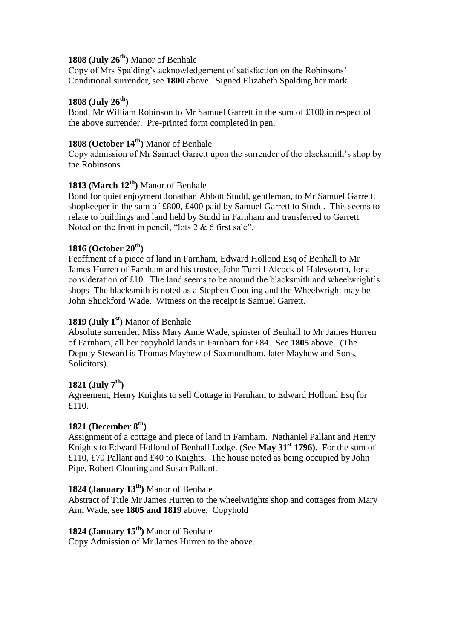# **1808 (July 26th)** Manor of Benhale

Copy of Mrs Spalding's acknowledgement of satisfaction on the Robinsons' Conditional surrender, see **1800** above. Signed Elizabeth Spalding her mark.

### **1808 (July 26th)**

Bond, Mr William Robinson to Mr Samuel Garrett in the sum of £100 in respect of the above surrender. Pre-printed form completed in pen.

## **1808 (October 14th)** Manor of Benhale

Copy admission of Mr Samuel Garrett upon the surrender of the blacksmith's shop by the Robinsons.

## **1813 (March 12th)** Manor of Benhale

Bond for quiet enjoyment Jonathan Abbott Studd, gentleman, to Mr Samuel Garrett, shopkeeper in the sum of £800, £400 paid by Samuel Garrett to Studd. This seems to relate to buildings and land held by Studd in Farnham and transferred to Garrett. Noted on the front in pencil, "lots 2 & 6 first sale".

## **1816 (October 20th)**

Feoffment of a piece of land in Farnham, Edward Hollond Esq of Benhall to Mr James Hurren of Farnham and his trustee, John Turrill Alcock of Halesworth, for a consideration of £10. The land seems to be around the blacksmith and wheelwright's shops The blacksmith is noted as a Stephen Gooding and the Wheelwright may be John Shuckford Wade. Witness on the receipt is Samuel Garrett.

### **1819 (July 1st)** Manor of Benhale

Absolute surrender, Miss Mary Anne Wade, spinster of Benhall to Mr James Hurren of Farnham, all her copyhold lands in Farnham for £84. See **1805** above. (The Deputy Steward is Thomas Mayhew of Saxmundham, later Mayhew and Sons, Solicitors).

## **1821 (July 7th)**

Agreement, Henry Knights to sell Cottage in Farnham to Edward Hollond Esq for £110.

#### **1821 (December 8th)**

Assignment of a cottage and piece of land in Farnham. Nathaniel Pallant and Henry Knights to Edward Hollond of Benhall Lodge. (See **May 31st 1796)**. For the sum of £110, £70 Pallant and £40 to Knights. The house noted as being occupied by John Pipe, Robert Clouting and Susan Pallant.

# **1824 (January 13th)** Manor of Benhale

Abstract of Title Mr James Hurren to the wheelwrights shop and cottages from Mary Ann Wade, see **1805 and 1819** above. Copyhold

# **1824 (January 15th)** Manor of Benhale

Copy Admission of Mr James Hurren to the above.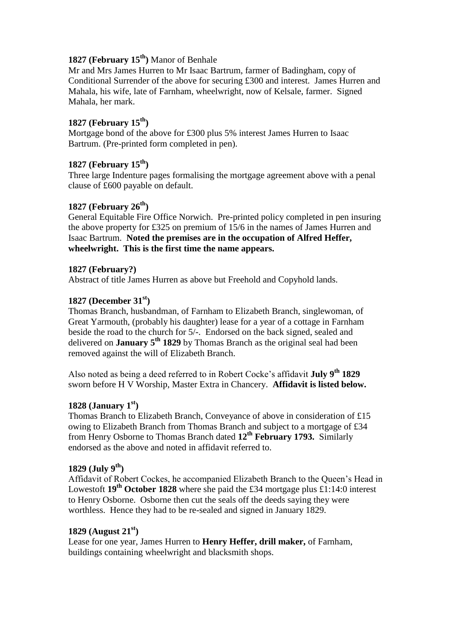# **1827 (February 15th)** Manor of Benhale

Mr and Mrs James Hurren to Mr Isaac Bartrum, farmer of Badingham, copy of Conditional Surrender of the above for securing £300 and interest. James Hurren and Mahala, his wife, late of Farnham, wheelwright, now of Kelsale, farmer. Signed Mahala, her mark.

### **1827 (February 15th)**

Mortgage bond of the above for £300 plus 5% interest James Hurren to Isaac Bartrum. (Pre-printed form completed in pen).

# **1827 (February 15th)**

Three large Indenture pages formalising the mortgage agreement above with a penal clause of £600 payable on default.

## **1827 (February 26th)**

General Equitable Fire Office Norwich. Pre-printed policy completed in pen insuring the above property for £325 on premium of 15/6 in the names of James Hurren and Isaac Bartrum. **Noted the premises are in the occupation of Alfred Heffer, wheelwright. This is the first time the name appears.**

#### **1827 (February?)**

Abstract of title James Hurren as above but Freehold and Copyhold lands.

### **1827 (December 31st)**

Thomas Branch, husbandman, of Farnham to Elizabeth Branch, singlewoman, of Great Yarmouth, (probably his daughter) lease for a year of a cottage in Farnham beside the road to the church for 5/-. Endorsed on the back signed, sealed and delivered on **January 5th 1829** by Thomas Branch as the original seal had been removed against the will of Elizabeth Branch.

Also noted as being a deed referred to in Robert Cocke's affidavit **July 9th 1829**  sworn before H V Worship, Master Extra in Chancery. **Affidavit is listed below.**

#### **1828 (January 1st)**

Thomas Branch to Elizabeth Branch, Conveyance of above in consideration of £15 owing to Elizabeth Branch from Thomas Branch and subject to a mortgage of £34 from Henry Osborne to Thomas Branch dated **12th February 1793.** Similarly endorsed as the above and noted in affidavit referred to.

#### **1829 (July 9th)**

Affidavit of Robert Cockes, he accompanied Elizabeth Branch to the Queen's Head in Lowestoft **19th October 1828** where she paid the £34 mortgage plus £1:14:0 interest to Henry Osborne. Osborne then cut the seals off the deeds saying they were worthless. Hence they had to be re-sealed and signed in January 1829.

#### **1829 (August 21st)**

Lease for one year, James Hurren to **Henry Heffer, drill maker,** of Farnham, buildings containing wheelwright and blacksmith shops.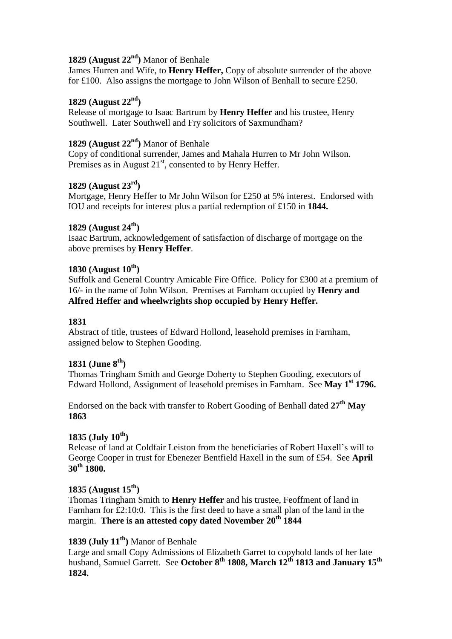# **1829 (August 22nd)** Manor of Benhale

James Hurren and Wife, to **Henry Heffer,** Copy of absolute surrender of the above for £100. Also assigns the mortgage to John Wilson of Benhall to secure £250.

### **1829 (August 22nd)**

Release of mortgage to Isaac Bartrum by **Henry Heffer** and his trustee, Henry Southwell. Later Southwell and Fry solicitors of Saxmundham?

# **1829 (August 22nd)** Manor of Benhale

Copy of conditional surrender, James and Mahala Hurren to Mr John Wilson. Premises as in August  $21<sup>st</sup>$ , consented to by Henry Heffer.

### **1829 (August 23rd)**

Mortgage, Henry Heffer to Mr John Wilson for £250 at 5% interest. Endorsed with IOU and receipts for interest plus a partial redemption of £150 in **1844.**

### **1829 (August 24th)**

Isaac Bartrum, acknowledgement of satisfaction of discharge of mortgage on the above premises by **Henry Heffer**.

### **1830 (August 10th)**

Suffolk and General Country Amicable Fire Office. Policy for £300 at a premium of 16/- in the name of John Wilson. Premises at Farnham occupied by **Henry and Alfred Heffer and wheelwrights shop occupied by Henry Heffer.**

#### **1831**

Abstract of title, trustees of Edward Hollond, leasehold premises in Farnham, assigned below to Stephen Gooding.

## **1831 (June 8th)**

Thomas Tringham Smith and George Doherty to Stephen Gooding, executors of Edward Hollond, Assignment of leasehold premises in Farnham. See **May 1st 1796.**

Endorsed on the back with transfer to Robert Gooding of Benhall dated **27th May 1863**

## **1835 (July 10th)**

Release of land at Coldfair Leiston from the beneficiaries of Robert Haxell's will to George Cooper in trust for Ebenezer Bentfield Haxell in the sum of £54. See **April 30th 1800.**

#### **1835 (August 15th)**

Thomas Tringham Smith to **Henry Heffer** and his trustee, Feoffment of land in Farnham for £2:10:0. This is the first deed to have a small plan of the land in the margin. **There is an attested copy dated November 20th 1844**

### **1839 (July 11th)** Manor of Benhale

Large and small Copy Admissions of Elizabeth Garret to copyhold lands of her late husband, Samuel Garrett. See **October 8th 1808, March 12th 1813 and January 15th 1824.**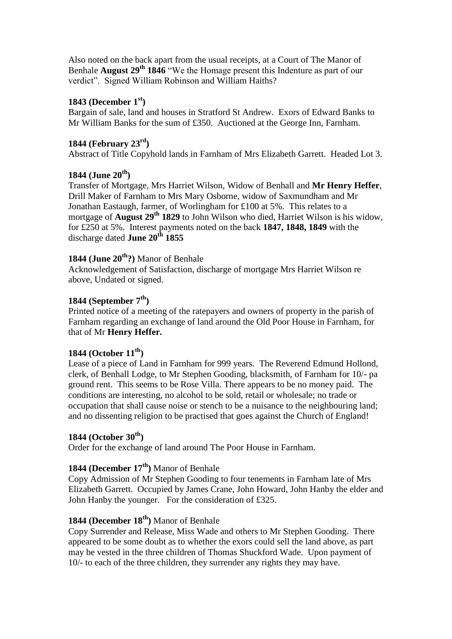Also noted on the back apart from the usual receipts, at a Court of The Manor of Benhale **August 29th 1846** "We the Homage present this Indenture as part of our verdict". Signed William Robinson and William Haiths?

## **1843 (December 1st)**

Bargain of sale, land and houses in Stratford St Andrew. Exors of Edward Banks to Mr William Banks for the sum of £350. Auctioned at the George Inn, Farnham.

### **1844 (February 23rd)**

Abstract of Title Copyhold lands in Farnham of Mrs Elizabeth Garrett. Headed Lot 3.

### **1844 (June 20th)**

Transfer of Mortgage, Mrs Harriet Wilson, Widow of Benhall and **Mr Henry Heffer**, Drill Maker of Farnham to Mrs Mary Osborne, widow of Saxmundham and Mr Jonathan Eastaugh, farmer, of Worlingham for £100 at 5%. This relates to a mortgage of **August 29th 1829** to John Wilson who died, Harriet Wilson is his widow, for £250 at 5%. Interest payments noted on the back **1847, 1848, 1849** with the discharge dated **June 20th 1855**

# **1844 (June 20th?)** Manor of Benhale

Acknowledgement of Satisfaction, discharge of mortgage Mrs Harriet Wilson re above, Undated or signed.

## **1844 (September 7th)**

Printed notice of a meeting of the ratepayers and owners of property in the parish of Farnham regarding an exchange of land around the Old Poor House in Farnham, for that of Mr **Henry Heffer.**

#### **1844 (October 11th)**

Lease of a piece of Land in Farnham for 999 years. The Reverend Edmund Hollond, clerk, of Benhall Lodge, to Mr Stephen Gooding, blacksmith, of Farnham for 10/- pa ground rent. This seems to be Rose Villa. There appears to be no money paid. The conditions are interesting, no alcohol to be sold, retail or wholesale; no trade or occupation that shall cause noise or stench to be a nuisance to the neighbouring land; and no dissenting religion to be practised that goes against the Church of England!

## **1844 (October 30th)**

Order for the exchange of land around The Poor House in Farnham.

## **1844 (December 17th)** Manor of Benhale

Copy Admission of Mr Stephen Gooding to four tenements in Farnham late of Mrs Elizabeth Garrett. Occupied by James Crane, John Howard, John Hanby the elder and John Hanby the younger. For the consideration of £325.

# **1844 (December 18th)** Manor of Benhale

Copy Surrender and Release, Miss Wade and others to Mr Stephen Gooding. There appeared to be some doubt as to whether the exors could sell the land above, as part may be vested in the three children of Thomas Shuckford Wade. Upon payment of 10/- to each of the three children, they surrender any rights they may have.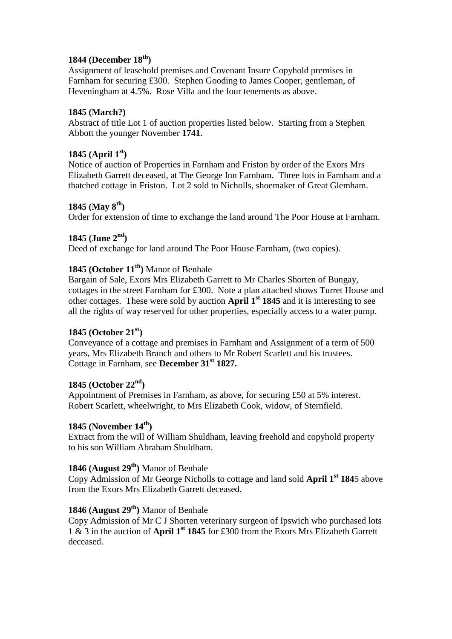## **1844 (December 18th)**

Assignment of leasehold premises and Covenant Insure Copyhold premises in Farnham for securing £300. Stephen Gooding to James Cooper, gentleman, of Heveningham at 4.5%. Rose Villa and the four tenements as above.

### **1845 (March?)**

Abstract of title Lot 1 of auction properties listed below. Starting from a Stephen Abbott the younger November **1741**.

### **1845 (April 1st)**

Notice of auction of Properties in Farnham and Friston by order of the Exors Mrs Elizabeth Garrett deceased, at The George Inn Farnham. Three lots in Farnham and a thatched cottage in Friston. Lot 2 sold to Nicholls, shoemaker of Great Glemham.

### **1845 (May 8th)**

Order for extension of time to exchange the land around The Poor House at Farnham.

### **1845 (June 2nd)**

Deed of exchange for land around The Poor House Farnham, (two copies).

## **1845 (October 11th)** Manor of Benhale

Bargain of Sale, Exors Mrs Elizabeth Garrett to Mr Charles Shorten of Bungay, cottages in the street Farnham for £300. Note a plan attached shows Turret House and other cottages. These were sold by auction **April 1st 1845** and it is interesting to see all the rights of way reserved for other properties, especially access to a water pump.

## **1845 (October 21st)**

Conveyance of a cottage and premises in Farnham and Assignment of a term of 500 years, Mrs Elizabeth Branch and others to Mr Robert Scarlett and his trustees. Cottage in Farnham, see **December 31st 1827.**

#### **1845 (October 22nd)**

Appointment of Premises in Farnham, as above, for securing £50 at 5% interest. Robert Scarlett, wheelwright, to Mrs Elizabeth Cook, widow, of Sternfield.

#### **1845 (November 14th)**

Extract from the will of William Shuldham, leaving freehold and copyhold property to his son William Abraham Shuldham.

#### **1846 (August 29th)** Manor of Benhale

Copy Admission of Mr George Nicholls to cottage and land sold **April 1st 184**5 above from the Exors Mrs Elizabeth Garrett deceased.

## **1846 (August 29th)** Manor of Benhale

Copy Admission of Mr C J Shorten veterinary surgeon of Ipswich who purchased lots 1 & 3 in the auction of **April 1st 1845** for £300 from the Exors Mrs Elizabeth Garrett deceased.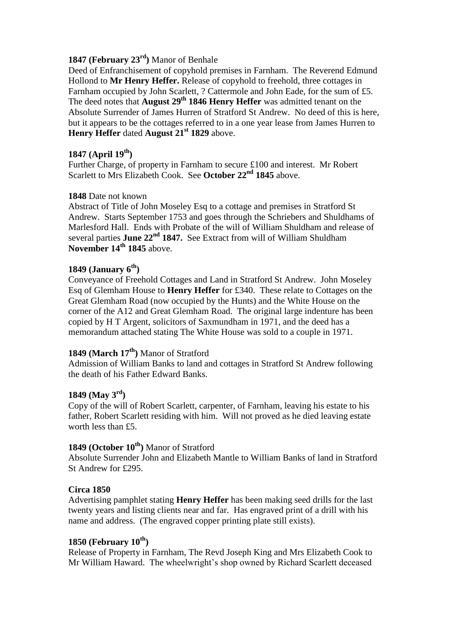# **1847 (February 23rd)** Manor of Benhale

Deed of Enfranchisement of copyhold premises in Farnham. The Reverend Edmund Hollond to **Mr Henry Heffer.** Release of copyhold to freehold, three cottages in Farnham occupied by John Scarlett, ? Cattermole and John Eade, for the sum of £5. The deed notes that **August 29th 1846 Henry Heffer** was admitted tenant on the Absolute Surrender of James Hurren of Stratford St Andrew. No deed of this is here, but it appears to be the cottages referred to in a one year lease from James Hurren to **Henry Heffer** dated **August 21st 1829** above.

### **1847 (April 19th)**

Further Charge, of property in Farnham to secure £100 and interest. Mr Robert Scarlett to Mrs Elizabeth Cook. See **October 22nd 1845** above.

### **1848** Date not known

Abstract of Title of John Moseley Esq to a cottage and premises in Stratford St Andrew. Starts September 1753 and goes through the Schriebers and Shuldhams of Marlesford Hall. Ends with Probate of the will of William Shuldham and release of several parties **June 22nd 1847.** See Extract from will of William Shuldham **November 14th 1845** above.

### **1849 (January 6th)**

Conveyance of Freehold Cottages and Land in Stratford St Andrew. John Moseley Esq of Glemham House to **Henry Heffer** for £340.These relate to Cottages on the Great Glemham Road (now occupied by the Hunts) and the White House on the corner of the A12 and Great Glemham Road. The original large indenture has been copied by H T Argent, solicitors of Saxmundham in 1971, and the deed has a memorandum attached stating The White House was sold to a couple in 1971.

#### **1849 (March 17th)** Manor of Stratford

Admission of William Banks to land and cottages in Stratford St Andrew following the death of his Father Edward Banks.

## **1849 (May 3rd)**

Copy of the will of Robert Scarlett, carpenter, of Farnham, leaving his estate to his father, Robert Scarlett residing with him. Will not proved as he died leaving estate worth less than £5.

# **1849 (October 10th)** Manor of Stratford

Absolute Surrender John and Elizabeth Mantle to William Banks of land in Stratford St Andrew for £295.

## **Circa 1850**

Advertising pamphlet stating **Henry Heffer** has been making seed drills for the last twenty years and listing clients near and far. Has engraved print of a drill with his name and address. (The engraved copper printing plate still exists).

## **1850 (February 10th)**

Release of Property in Farnham, The Revd Joseph King and Mrs Elizabeth Cook to Mr William Haward. The wheelwright's shop owned by Richard Scarlett deceased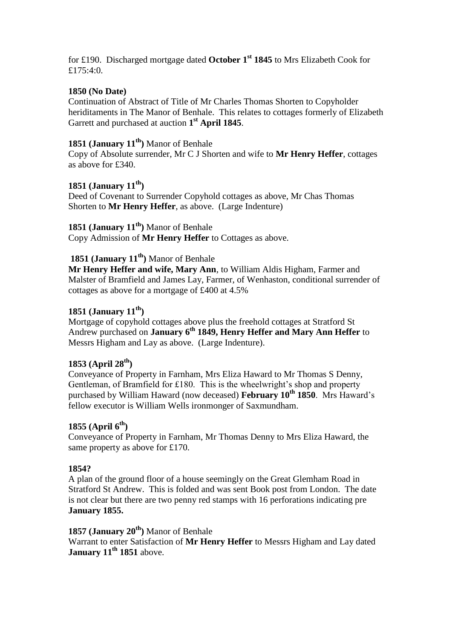for £190. Discharged mortgage dated **October 1st 1845** to Mrs Elizabeth Cook for £175:4:0.

### **1850 (No Date)**

Continuation of Abstract of Title of Mr Charles Thomas Shorten to Copyholder heriditaments in The Manor of Benhale. This relates to cottages formerly of Elizabeth Garrett and purchased at auction **1 st April 1845**.

# **1851 (January 11th)** Manor of Benhale

Copy of Absolute surrender, Mr C J Shorten and wife to **Mr Henry Heffer**, cottages as above for £340.

## **1851 (January 11th)**

Deed of Covenant to Surrender Copyhold cottages as above, Mr Chas Thomas Shorten to **Mr Henry Heffer**, as above. (Large Indenture)

## **1851 (January 11th)** Manor of Benhale

Copy Admission of **Mr Henry Heffer** to Cottages as above.

# **1851 (January 11th)** Manor of Benhale

**Mr Henry Heffer and wife, Mary Ann**, to William Aldis Higham, Farmer and Malster of Bramfield and James Lay, Farmer, of Wenhaston, conditional surrender of cottages as above for a mortgage of £400 at 4.5%

### **1851 (January 11th)**

Mortgage of copyhold cottages above plus the freehold cottages at Stratford St Andrew purchased on **January 6th 1849, Henry Heffer and Mary Ann Heffer** to Messrs Higham and Lay as above. (Large Indenture).

# **1853 (April 28th)**

Conveyance of Property in Farnham, Mrs Eliza Haward to Mr Thomas S Denny, Gentleman, of Bramfield for £180. This is the wheelwright's shop and property purchased by William Haward (now deceased) **February 10th 1850**. Mrs Haward's fellow executor is William Wells ironmonger of Saxmundham.

#### **1855 (April 6th)**

Conveyance of Property in Farnham, Mr Thomas Denny to Mrs Eliza Haward, the same property as above for £170.

#### **1854?**

A plan of the ground floor of a house seemingly on the Great Glemham Road in Stratford St Andrew. This is folded and was sent Book post from London. The date is not clear but there are two penny red stamps with 16 perforations indicating pre **January 1855.**

### **1857 (January 20th)** Manor of Benhale

Warrant to enter Satisfaction of **Mr Henry Heffer** to Messrs Higham and Lay dated **January 11th 1851** above.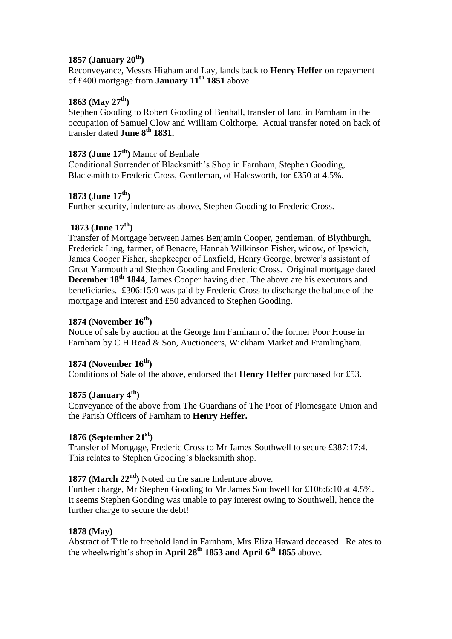## **1857 (January 20th)**

Reconveyance, Messrs Higham and Lay, lands back to **Henry Heffer** on repayment of £400 mortgage from **January 11th 1851** above.

## **1863 (May 27th)**

Stephen Gooding to Robert Gooding of Benhall, transfer of land in Farnham in the occupation of Samuel Clow and William Colthorpe. Actual transfer noted on back of transfer dated **June 8th 1831.**

## **1873 (June 17th)** Manor of Benhale

Conditional Surrender of Blacksmith's Shop in Farnham, Stephen Gooding, Blacksmith to Frederic Cross, Gentleman, of Halesworth, for £350 at 4.5%.

### **1873 (June 17th)**

Further security, indenture as above, Stephen Gooding to Frederic Cross.

### **1873 (June 17th)**

Transfer of Mortgage between James Benjamin Cooper, gentleman, of Blythburgh, Frederick Ling, farmer, of Benacre, Hannah Wilkinson Fisher, widow, of Ipswich, James Cooper Fisher, shopkeeper of Laxfield, Henry George, brewer's assistant of Great Yarmouth and Stephen Gooding and Frederic Cross. Original mortgage dated **December 18th 1844**, James Cooper having died. The above are his executors and beneficiaries. £306:15:0 was paid by Frederic Cross to discharge the balance of the mortgage and interest and £50 advanced to Stephen Gooding.

## **1874 (November 16th)**

Notice of sale by auction at the George Inn Farnham of the former Poor House in Farnham by C H Read & Son, Auctioneers, Wickham Market and Framlingham.

## **1874 (November 16th)**

Conditions of Sale of the above, endorsed that **Henry Heffer** purchased for £53.

#### **1875 (January 4th)**

Conveyance of the above from The Guardians of The Poor of Plomesgate Union and the Parish Officers of Farnham to **Henry Heffer.**

#### **1876 (September 21st)**

Transfer of Mortgage, Frederic Cross to Mr James Southwell to secure £387:17:4. This relates to Stephen Gooding's blacksmith shop.

## **1877 (March 22nd)** Noted on the same Indenture above.

Further charge, Mr Stephen Gooding to Mr James Southwell for £106:6:10 at 4.5%. It seems Stephen Gooding was unable to pay interest owing to Southwell, hence the further charge to secure the debt!

#### **1878 (May)**

Abstract of Title to freehold land in Farnham, Mrs Eliza Haward deceased. Relates to the wheelwright's shop in **April 28th 1853 and April 6th 1855** above.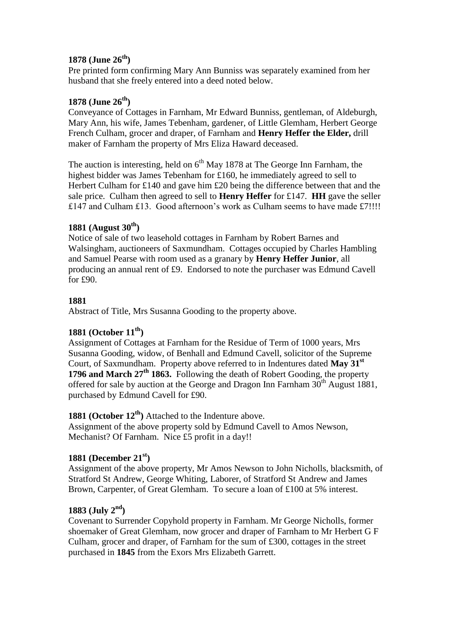## **1878 (June 26th)**

Pre printed form confirming Mary Ann Bunniss was separately examined from her husband that she freely entered into a deed noted below.

## **1878 (June 26th)**

Conveyance of Cottages in Farnham, Mr Edward Bunniss, gentleman, of Aldeburgh, Mary Ann, his wife, James Tebenham, gardener, of Little Glemham, Herbert George French Culham, grocer and draper, of Farnham and **Henry Heffer the Elder,** drill maker of Farnham the property of Mrs Eliza Haward deceased.

The auction is interesting, held on  $6<sup>th</sup>$  May 1878 at The George Inn Farnham, the highest bidder was James Tebenham for £160, he immediately agreed to sell to Herbert Culham for £140 and gave him £20 being the difference between that and the sale price. Culham then agreed to sell to **Henry Heffer** for £147. **HH** gave the seller £147 and Culham £13. Good afternoon's work as Culham seems to have made £7!!!!

## **1881 (August 30th)**

Notice of sale of two leasehold cottages in Farnham by Robert Barnes and Walsingham, auctioneers of Saxmundham. Cottages occupied by Charles Hambling and Samuel Pearse with room used as a granary by **Henry Heffer Junior**, all producing an annual rent of £9. Endorsed to note the purchaser was Edmund Cavell for £90.

#### **1881**

Abstract of Title, Mrs Susanna Gooding to the property above.

## **1881 (October 11th)**

Assignment of Cottages at Farnham for the Residue of Term of 1000 years, Mrs Susanna Gooding, widow, of Benhall and Edmund Cavell, solicitor of the Supreme Court, of Saxmundham. Property above referred to in Indentures dated **May 31st 1796 and March 27th 1863.** Following the death of Robert Gooding, the property offered for sale by auction at the George and Dragon Inn Farnham  $30<sup>th</sup>$  August 1881, purchased by Edmund Cavell for £90.

## **1881 (October 12th)** Attached to the Indenture above.

Assignment of the above property sold by Edmund Cavell to Amos Newson, Mechanist? Of Farnham. Nice £5 profit in a day!!

## **1881 (December 21st)**

Assignment of the above property, Mr Amos Newson to John Nicholls, blacksmith, of Stratford St Andrew, George Whiting, Laborer, of Stratford St Andrew and James Brown, Carpenter, of Great Glemham. To secure a loan of £100 at 5% interest.

## **1883 (July 2nd)**

Covenant to Surrender Copyhold property in Farnham. Mr George Nicholls, former shoemaker of Great Glemham, now grocer and draper of Farnham to Mr Herbert G F Culham, grocer and draper, of Farnham for the sum of £300, cottages in the street purchased in **1845** from the Exors Mrs Elizabeth Garrett.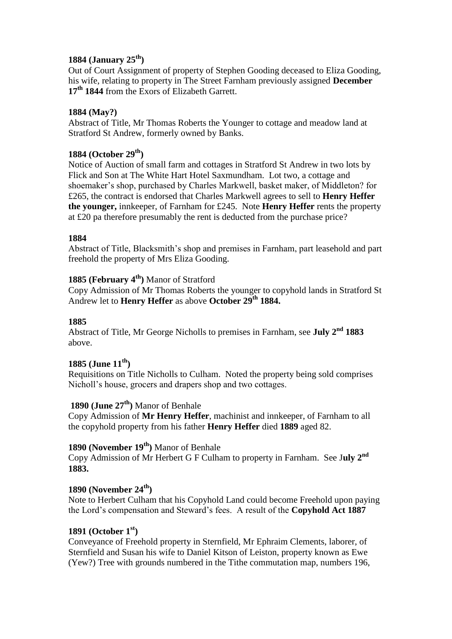## **1884 (January 25th)**

Out of Court Assignment of property of Stephen Gooding deceased to Eliza Gooding, his wife, relating to property in The Street Farnham previously assigned **December 17th 1844** from the Exors of Elizabeth Garrett.

## **1884 (May?)**

Abstract of Title, Mr Thomas Roberts the Younger to cottage and meadow land at Stratford St Andrew, formerly owned by Banks.

## **1884 (October 29th)**

Notice of Auction of small farm and cottages in Stratford St Andrew in two lots by Flick and Son at The White Hart Hotel Saxmundham. Lot two, a cottage and shoemaker's shop, purchased by Charles Markwell, basket maker, of Middleton? for £265, the contract is endorsed that Charles Markwell agrees to sell to **Henry Heffer the younger,** innkeeper, of Farnham for £245. Note **Henry Heffer** rents the property at £20 pa therefore presumably the rent is deducted from the purchase price?

## **1884**

Abstract of Title, Blacksmith's shop and premises in Farnham, part leasehold and part freehold the property of Mrs Eliza Gooding.

## **1885 (February 4th)** Manor of Stratford

Copy Admission of Mr Thomas Roberts the younger to copyhold lands in Stratford St Andrew let to **Henry Heffer** as above **October 29th 1884.**

## **1885**

Abstract of Title, Mr George Nicholls to premises in Farnham, see **July 2nd 1883** above.

## **1885 (June 11th)**

Requisitions on Title Nicholls to Culham. Noted the property being sold comprises Nicholl's house, grocers and drapers shop and two cottages.

# **1890 (June 27th)** Manor of Benhale

Copy Admission of **Mr Henry Heffer**, machinist and innkeeper, of Farnham to all the copyhold property from his father **Henry Heffer** died **1889** aged 82.

# **1890 (November 19th)** Manor of Benhale

Copy Admission of Mr Herbert G F Culham to property in Farnham. See J**uly 2nd 1883.**

# **1890 (November 24th)**

Note to Herbert Culham that his Copyhold Land could become Freehold upon paying the Lord's compensation and Steward's fees. A result of the **Copyhold Act 1887**

## **1891 (October 1st)**

Conveyance of Freehold property in Sternfield, Mr Ephraim Clements, laborer, of Sternfield and Susan his wife to Daniel Kitson of Leiston, property known as Ewe (Yew?) Tree with grounds numbered in the Tithe commutation map, numbers 196,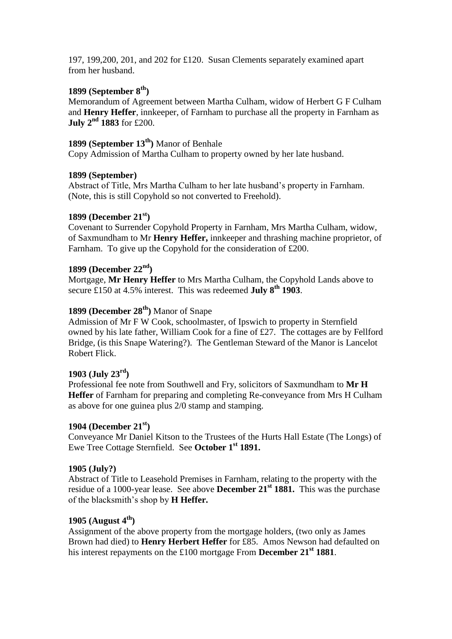197, 199,200, 201, and 202 for £120. Susan Clements separately examined apart from her husband.

## **1899 (September 8th)**

Memorandum of Agreement between Martha Culham, widow of Herbert G F Culham and **Henry Heffer**, innkeeper, of Farnham to purchase all the property in Farnham as **July 2nd 1883** for £200.

# **1899 (September 13th)** Manor of Benhale

Copy Admission of Martha Culham to property owned by her late husband.

### **1899 (September)**

Abstract of Title, Mrs Martha Culham to her late husband's property in Farnham. (Note, this is still Copyhold so not converted to Freehold).

## **1899 (December 21st)**

Covenant to Surrender Copyhold Property in Farnham, Mrs Martha Culham, widow, of Saxmundham to Mr **Henry Heffer,** innkeeper and thrashing machine proprietor, of Farnham. To give up the Copyhold for the consideration of £200.

### **1899 (December 22nd)**

Mortgage, **Mr Henry Heffer** to Mrs Martha Culham, the Copyhold Lands above to secure £150 at 4.5% interest. This was redeemed **July 8th 1903**.

# **1899 (December 28th)** Manor of Snape

Admission of Mr F W Cook, schoolmaster, of Ipswich to property in Sternfield owned by his late father, William Cook for a fine of £27. The cottages are by Fellford Bridge, (is this Snape Watering?). The Gentleman Steward of the Manor is Lancelot Robert Flick.

## **1903 (July 23rd)**

Professional fee note from Southwell and Fry, solicitors of Saxmundham to **Mr H Heffer** of Farnham for preparing and completing Re-conveyance from Mrs H Culham as above for one guinea plus 2/0 stamp and stamping.

#### **1904 (December 21st)**

Conveyance Mr Daniel Kitson to the Trustees of the Hurts Hall Estate (The Longs) of Ewe Tree Cottage Sternfield. See **October 1st 1891.**

#### **1905 (July?)**

Abstract of Title to Leasehold Premises in Farnham, relating to the property with the residue of a 1000-year lease. See above **December 21st 1881.** This was the purchase of the blacksmith's shop by **H Heffer.**

## **1905 (August 4th)**

Assignment of the above property from the mortgage holders, (two only as James Brown had died) to **Henry Herbert Heffer** for £85. Amos Newson had defaulted on his interest repayments on the £100 mortgage From **December 21st 1881**.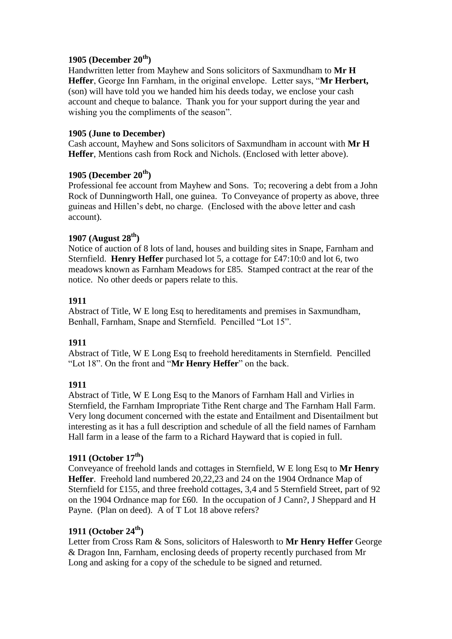## **1905 (December 20th)**

Handwritten letter from Mayhew and Sons solicitors of Saxmundham to **Mr H Heffer**, George Inn Farnham, in the original envelope. Letter says, "**Mr Herbert,**  (son) will have told you we handed him his deeds today, we enclose your cash account and cheque to balance. Thank you for your support during the year and wishing you the compliments of the season".

### **1905 (June to December)**

Cash account, Mayhew and Sons solicitors of Saxmundham in account with **Mr H Heffer**, Mentions cash from Rock and Nichols. (Enclosed with letter above).

## **1905 (December 20th)**

Professional fee account from Mayhew and Sons. To; recovering a debt from a John Rock of Dunningworth Hall, one guinea. To Conveyance of property as above, three guineas and Hillen's debt, no charge. (Enclosed with the above letter and cash account).

# **1907 (August 28th)**

Notice of auction of 8 lots of land, houses and building sites in Snape, Farnham and Sternfield. **Henry Heffer** purchased lot 5, a cottage for £47:10:0 and lot 6, two meadows known as Farnham Meadows for £85. Stamped contract at the rear of the notice. No other deeds or papers relate to this.

## **1911**

Abstract of Title, W E long Esq to hereditaments and premises in Saxmundham, Benhall, Farnham, Snape and Sternfield. Pencilled "Lot 15".

## **1911**

Abstract of Title, W E Long Esq to freehold hereditaments in Sternfield. Pencilled "Lot 18". On the front and "**Mr Henry Heffer**" on the back.

## **1911**

Abstract of Title, W E Long Esq to the Manors of Farnham Hall and Virlies in Sternfield, the Farnham Impropriate Tithe Rent charge and The Farnham Hall Farm. Very long document concerned with the estate and Entailment and Disentailment but interesting as it has a full description and schedule of all the field names of Farnham Hall farm in a lease of the farm to a Richard Hayward that is copied in full.

## **1911 (October 17th)**

Conveyance of freehold lands and cottages in Sternfield, W E long Esq to **Mr Henry Heffer**. Freehold land numbered 20,22,23 and 24 on the 1904 Ordnance Map of Sternfield for £155, and three freehold cottages, 3,4 and 5 Sternfield Street, part of 92 on the 1904 Ordnance map for £60. In the occupation of J Cann?, J Sheppard and H Payne. (Plan on deed). A of T Lot 18 above refers?

## **1911 (October 24th)**

Letter from Cross Ram & Sons, solicitors of Halesworth to **Mr Henry Heffer** George & Dragon Inn, Farnham, enclosing deeds of property recently purchased from Mr Long and asking for a copy of the schedule to be signed and returned.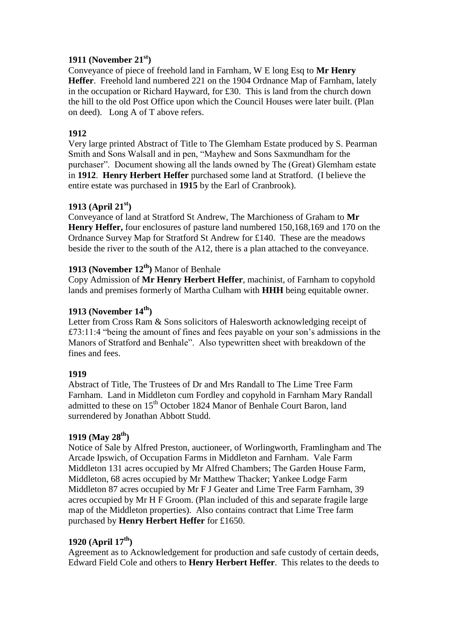# **1911 (November 21st)**

Conveyance of piece of freehold land in Farnham, W E long Esq to **Mr Henry Heffer**. Freehold land numbered 221 on the 1904 Ordnance Map of Farnham, lately in the occupation or Richard Hayward, for £30. This is land from the church down the hill to the old Post Office upon which the Council Houses were later built. (Plan on deed). Long A of T above refers.

## **1912**

Very large printed Abstract of Title to The Glemham Estate produced by S. Pearman Smith and Sons Walsall and in pen, "Mayhew and Sons Saxmundham for the purchaser". Document showing all the lands owned by The (Great) Glemham estate in **1912**. **Henry Herbert Heffer** purchased some land at Stratford. (I believe the entire estate was purchased in **1915** by the Earl of Cranbrook).

## **1913 (April 21st)**

Conveyance of land at Stratford St Andrew, The Marchioness of Graham to **Mr Henry Heffer,** four enclosures of pasture land numbered 150,168,169 and 170 on the Ordnance Survey Map for Stratford St Andrew for £140. These are the meadows beside the river to the south of the A12, there is a plan attached to the conveyance.

# **1913 (November 12th)** Manor of Benhale

Copy Admission of **Mr Henry Herbert Heffer**, machinist, of Farnham to copyhold lands and premises formerly of Martha Culham with **HHH** being equitable owner.

## **1913 (November 14th)**

Letter from Cross Ram & Sons solicitors of Halesworth acknowledging receipt of £73:11:4 "being the amount of fines and fees payable on your son's admissions in the Manors of Stratford and Benhale". Also typewritten sheet with breakdown of the fines and fees.

## **1919**

Abstract of Title, The Trustees of Dr and Mrs Randall to The Lime Tree Farm Farnham. Land in Middleton cum Fordley and copyhold in Farnham Mary Randall admitted to these on 15<sup>th</sup> October 1824 Manor of Benhale Court Baron, land surrendered by Jonathan Abbott Studd.

## **1919 (May 28th)**

Notice of Sale by Alfred Preston, auctioneer, of Worlingworth, Framlingham and The Arcade Ipswich, of Occupation Farms in Middleton and Farnham. Vale Farm Middleton 131 acres occupied by Mr Alfred Chambers; The Garden House Farm, Middleton, 68 acres occupied by Mr Matthew Thacker; Yankee Lodge Farm Middleton 87 acres occupied by Mr F J Geater and Lime Tree Farm Farnham, 39 acres occupied by Mr H F Groom. (Plan included of this and separate fragile large map of the Middleton properties). Also contains contract that Lime Tree farm purchased by **Henry Herbert Heffer** for £1650.

## **1920 (April 17th)**

Agreement as to Acknowledgement for production and safe custody of certain deeds, Edward Field Cole and others to **Henry Herbert Heffer**. This relates to the deeds to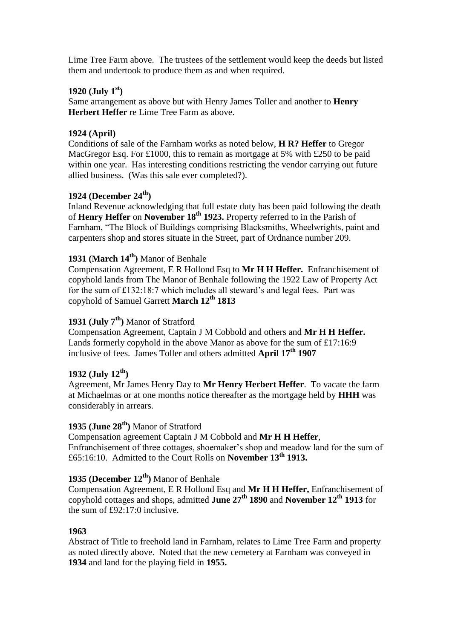Lime Tree Farm above. The trustees of the settlement would keep the deeds but listed them and undertook to produce them as and when required.

## **1920 (July 1st)**

Same arrangement as above but with Henry James Toller and another to **Henry Herbert Heffer** re Lime Tree Farm as above.

## **1924 (April)**

Conditions of sale of the Farnham works as noted below, **H R? Heffer** to Gregor MacGregor Esq. For £1000, this to remain as mortgage at 5% with £250 to be paid within one year. Has interesting conditions restricting the vendor carrying out future allied business. (Was this sale ever completed?).

## **1924 (December 24th)**

Inland Revenue acknowledging that full estate duty has been paid following the death of **Henry Heffer** on **November 18th 1923.** Property referred to in the Parish of Farnham, "The Block of Buildings comprising Blacksmiths, Wheelwrights, paint and carpenters shop and stores situate in the Street, part of Ordnance number 209.

# **1931 (March 14th)** Manor of Benhale

Compensation Agreement, E R Hollond Esq to **Mr H H Heffer.** Enfranchisement of copyhold lands from The Manor of Benhale following the 1922 Law of Property Act for the sum of £132:18:7 which includes all steward's and legal fees. Part was copyhold of Samuel Garrett **March 12th 1813**

# **1931 (July 7th)** Manor of Stratford

Compensation Agreement, Captain J M Cobbold and others and **Mr H H Heffer.**  Lands formerly copyhold in the above Manor as above for the sum of £17:16:9 inclusive of fees. James Toller and others admitted **April 17th 1907**

## **1932 (July 12th)**

Agreement, Mr James Henry Day to **Mr Henry Herbert Heffer**. To vacate the farm at Michaelmas or at one months notice thereafter as the mortgage held by **HHH** was considerably in arrears.

# **1935 (June 28th )** Manor of Stratford

Compensation agreement Captain J M Cobbold and **Mr H H Heffer**, Enfranchisement of three cottages, shoemaker's shop and meadow land for the sum of £65:16:10. Admitted to the Court Rolls on **November 13th 1913.**

# **1935 (December 12th)** Manor of Benhale

Compensation Agreement, E R Hollond Esq and **Mr H H Heffer,** Enfranchisement of copyhold cottages and shops, admitted **June 27th 1890** and **November 12th 1913** for the sum of £92:17:0 inclusive.

## **1963**

Abstract of Title to freehold land in Farnham, relates to Lime Tree Farm and property as noted directly above. Noted that the new cemetery at Farnham was conveyed in **1934** and land for the playing field in **1955.**